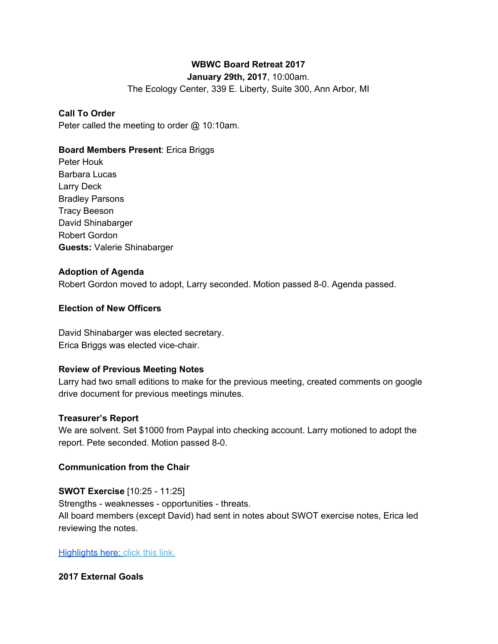# **WBWC Board Retreat 2017**

**January 29th, 2017**, 10:00am.

The Ecology Center, 339 E. Liberty, Suite 300, Ann Arbor, MI

### **Call To Order**

Peter called the meeting to order @ 10:10am.

# **Board Members Present**: Erica Briggs

Peter Houk Barbara Lucas Larry Deck Bradley Parsons Tracy Beeson David Shinabarger Robert Gordon **Guests:** Valerie Shinabarger

### **Adoption of Agenda**

Robert Gordon moved to adopt, Larry seconded. Motion passed 8-0. Agenda passed.

# **Election of New Officers**

David Shinabarger was elected secretary. Erica Briggs was elected vice-chair.

### **Review of Previous Meeting Notes**

Larry had two small editions to make for the previous meeting, created comments on google drive document for previous meetings minutes.

### **Treasurer's Report**

We are solvent. Set \$1000 from Paypal into checking account. Larry motioned to adopt the report. Pete seconded. Motion passed 8-0.

### **Communication from the Chair**

**SWOT Exercise** [10:25 - 11:25] Strengths - weaknesses - opportunities - threats. All board members (except David) had sent in notes about SWOT exercise notes, Erica led reviewing the notes.

#### [Highlights here:](https://docs.google.com/presentation/d/16X1fx4zJL_sJDimzPKbOp98hMWVJ8Y8Y7j9wMEyoxV4/edit?ts=588e1551#slide=id.p) click this link.

### **2017 External Goals**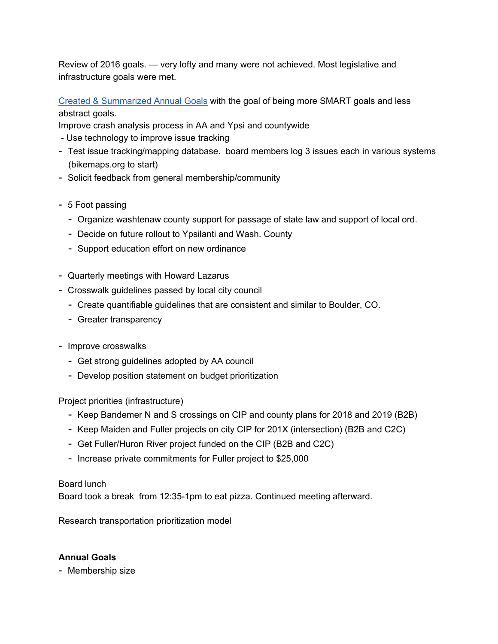Review of 2016 goals. — very lofty and many were not achieved. Most legislative and infrastructure goals were met.

[Created & Summarized Annual](https://docs.google.com/document/d/1r1yioENiocHtfJ7FKZygSc4Yz66aaA38kUiX0W-SfKg/edit) Goals with the goal of being more SMART goals and less abstract goals.

Improve crash analysis process in AA and Ypsi and countywide

- Use technology to improve issue tracking
- Test issue tracking/mapping database. board members log 3 issues each in various systems (bikemaps.org to start)
- Solicit feedback from general membership/community
- 5 Foot passing
	- Organize washtenaw county support for passage of state law and support of local ord.
	- Decide on future rollout to Ypsilanti and Wash. County
	- Support education effort on new ordinance
- Quarterly meetings with Howard Lazarus
- Crosswalk guidelines passed by local city council
	- Create quantifiable guidelines that are consistent and similar to Boulder, CO.
	- Greater transparency
- Improve crosswalks
	- Get strong guidelines adopted by AA council
	- Develop position statement on budget prioritization

Project priorities (infrastructure)

- Keep Bandemer N and S crossings on CIP and county plans for 2018 and 2019 (B2B)
- Keep Maiden and Fuller projects on city CIP for 201X (intersection) (B2B and C2C)
- Get Fuller/Huron River project funded on the CIP (B2B and C2C)
- Increase private commitments for Fuller project to \$25,000

### Board lunch

Board took a break from 12:35-1pm to eat pizza. Continued meeting afterward.

Research transportation prioritization model

### **Annual Goals**

- Membership size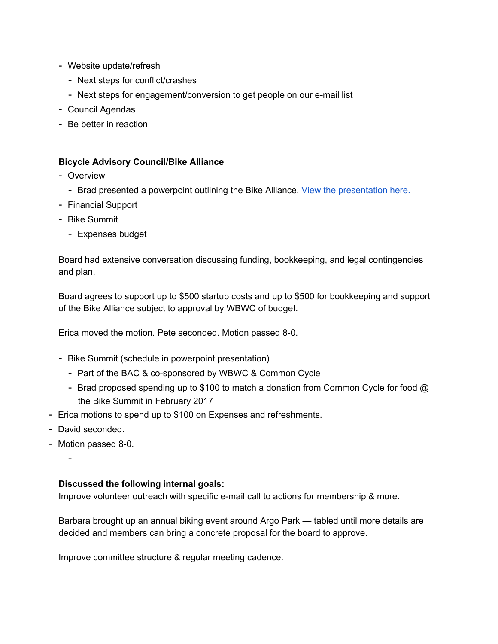- Website update/refresh
	- Next steps for conflict/crashes
	- Next steps for engagement/conversion to get people on our e-mail list
- Council Agendas
- Be better in reaction

#### **Bicycle Advisory Council/Bike Alliance**

- Overview
	- Brad presented a powerpoint outlining the Bike Alliance. [V](https://docs.google.com/presentation/d/16ADnpUgoMRHu9XQDPhoBQeteCTr2JgofZquYhIahKSM/edit?ts=588e3c2c)iew the [presentation](https://docs.google.com/presentation/d/16ADnpUgoMRHu9XQDPhoBQeteCTr2JgofZquYhIahKSM/edit?ts=588e3c2c) here.
- Financial Support
- Bike Summit
	- Expenses budget

Board had extensive conversation discussing funding, bookkeeping, and legal contingencies and plan.

Board agrees to support up to \$500 startup costs and up to \$500 for bookkeeping and support of the Bike Alliance subject to approval by WBWC of budget.

Erica moved the motion. Pete seconded. Motion passed 8-0.

- Bike Summit (schedule in powerpoint presentation)
	- Part of the BAC & co-sponsored by WBWC & Common Cycle
	- Brad proposed spending up to \$100 to match a donation from Common Cycle for food @ the Bike Summit in February 2017
- Erica motions to spend up to \$100 on Expenses and refreshments.
- David seconded.
- Motion passed 8-0.

-

#### **Discussed the following internal goals:**

Improve volunteer outreach with specific e-mail call to actions for membership & more.

Barbara brought up an annual biking event around Argo Park — tabled until more details are decided and members can bring a concrete proposal for the board to approve.

Improve committee structure & regular meeting cadence.